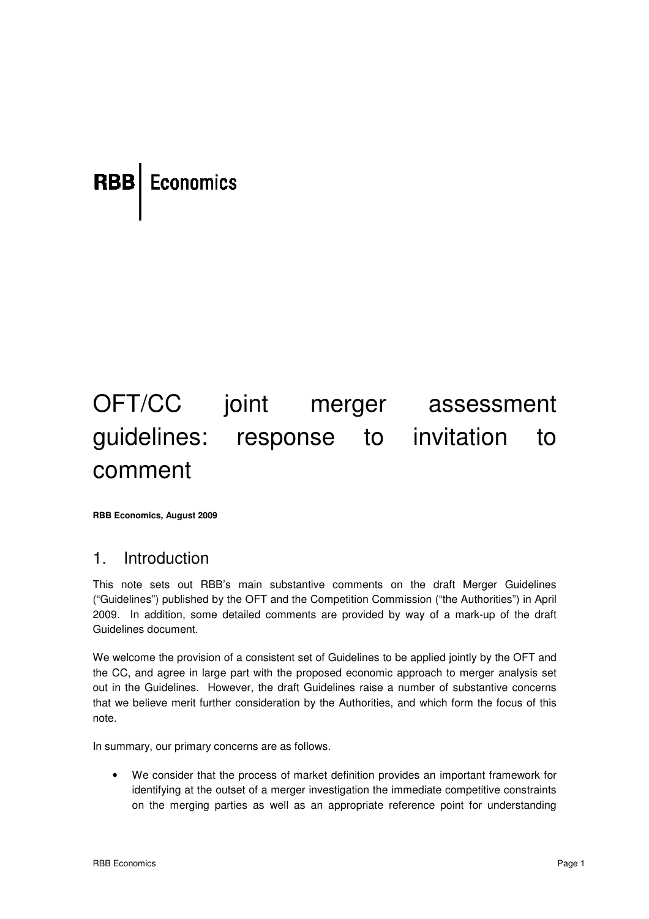# **RBB** Economics

# OFT/CC joint merger assessment guidelines: response to invitation to comment

**RBB Economics, August 2009** 

## 1. Introduction

This note sets out RBB's main substantive comments on the draft Merger Guidelines ("Guidelines") published by the OFT and the Competition Commission ("the Authorities") in April 2009. In addition, some detailed comments are provided by way of a mark-up of the draft Guidelines document.

We welcome the provision of a consistent set of Guidelines to be applied jointly by the OFT and the CC, and agree in large part with the proposed economic approach to merger analysis set the CC, and agree in large part with the proposed economic approach to merger analysis set<br>out in the Guidelines. However, the draft Guidelines raise a number of substantive concerns that we believe merit further consideration by the Authorities, and which form the focus of this note.

In summary, our primary concerns are as follows.

• We consider that the process of market definition provides an important framework for identifying at the outset of a merger investigation the immediate competitive constraints on the merging parties as well as an appropriate reference point for understanding , and which form the focus of this<br>byides an important framework for<br>immediate competitive constraints<br>reference point for understanding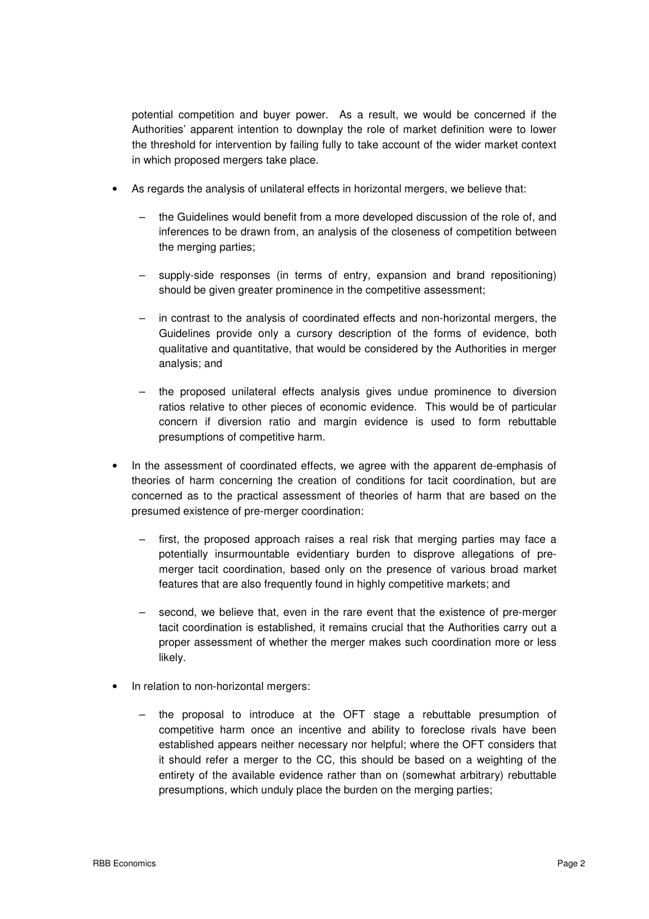potential competition and buyer power. As a result, we would be concerned if the Authorities' apparent intention to downplay the role of market definition were to lower the threshold for intervention by failing fully to take account of the wider market context in which proposed mergers take place.

- As regards the analysis of unilateral effects in horizontal mergers, we believe that:
	- the Guidelines would benefit from a more developed discussion of the role of, and inferences to be drawn from, an analysis of the closeness of competition between the merging parties:
	- supply-side responses (in terms of entry, expansion and brand repositioning) should be given greater prominence in the competitive assessment;
	- in contrast to the analysis of coordinated effects and non-horizontal mergers, the Guidelines provide only a cursory description of the forms of evidence, both qualitative and quantitative, that would be considered by the Authorities in merger analysis; and
	- the proposed unilateral effects analysis gives undue prominence to diversion ratios relative to other pieces of economic evidence. This would be of particular concern if diversion ratio and margin evidence is used to form rebuttable presumptions of competitive harm.
- In the assessment of coordinated effects, we agree with the apparent de-emphasis of theories of harm concerning the creation of conditions for tacit coordination, but are concerned as to the practical assessment of theories of harm that are based on the presumed existence of pre-merger coordination:
	- first, the proposed approach raises a real risk that merging parties may face a potentially insurmountable evidentiary burden to disprove allegations of premerger tacit coordination, based only on the presence of various broad market features that are also frequently found in highly competitive markets; and
	- second, we believe that, even in the rare event that the existence of pre-merger tacit coordination is established, it remains crucial that the Authorities carry out a proper assessment of whether the merger makes such coordination more or less likely.
- In relation to non-horizontal mergers:
	- the proposal to introduce at the OFT stage a rebuttable presumption of competitive harm once an incentive and ability to foreclose rivals have been established appears neither necessary nor helpful; where the OFT considers that it should refer a merger to the CC, this should be based on a weighting of the entirety of the available evidence rather than on (somewhat arbitrary) rebuttable presumptions, which unduly place the burden on the merging parties;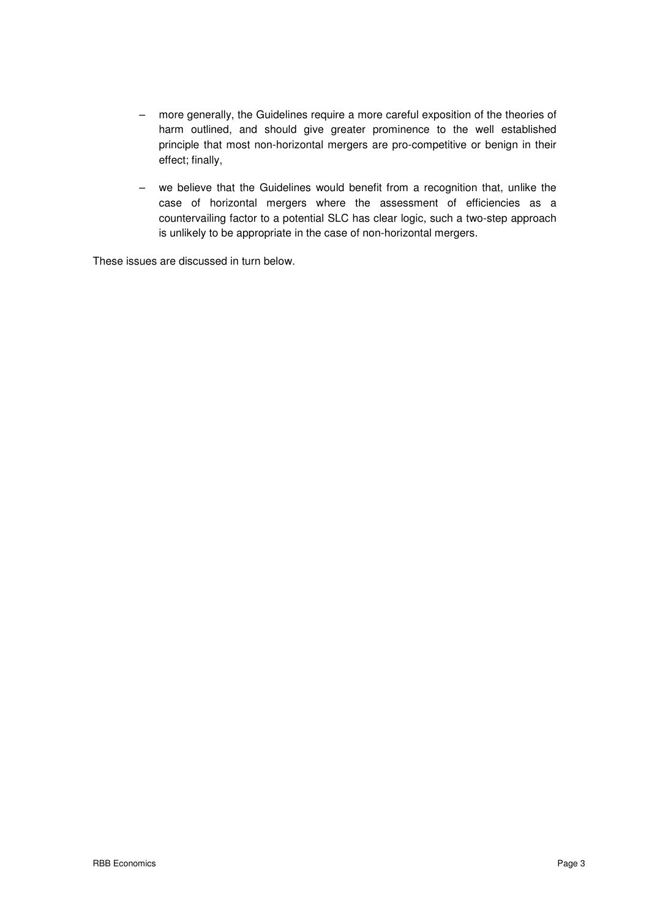- more generally, the Guidelines require a more careful exposition of the theories of harm outlined, and should give greater prominence to the well established principle that most non-horizontal mergers are pro-competitive or benign in their effect; finally,
- we believe that the Guidelines would benefit from a recognition that, unlike the case of horizontal mergers where the assessment of efficiencies as a countervailing factor to a potential SLC has clear logic, such a two-step approach is unlikely to be appropriate in the case of non-horizontal mergers.

These issues are discussed in turn below.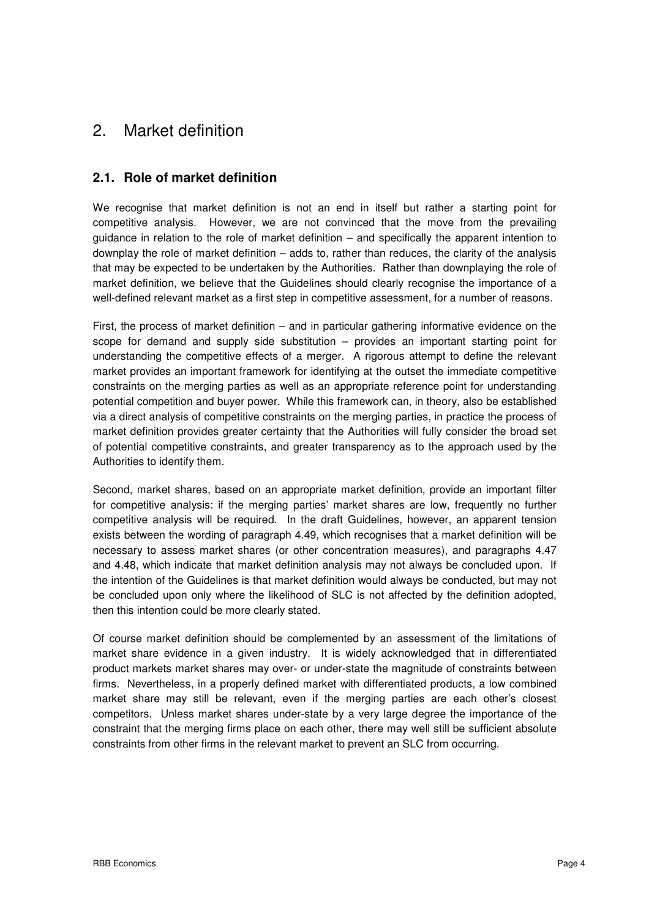# 2. Market definition

## **2.1. Role of market definition**

We recognise that market definition is not an end in itself but rather a starting point for competitive analysis. However, we are not convinced that the move from the prevailing guidance in relation to the role of market definition – and specifically the apparent intention to downplay the role of market definition – adds to, rather than reduces, the clarity of the analysis that may be expected to be undertaken by the Authorities. Rather than downplaying the role of market definition, we believe that the Guidelines should clearly recognise the importance of a well-defined relevant market as a first step in competitive assessment, for a number of reasons.

First, the process of market definition – and in particular gathering informative evidence on the scope for demand and supply side substitution – provides an important starting point for understanding the competitive effects of a merger. A rigorous attempt to define the relevant market provides an important framework for identifying at the outset the immediate competitive constraints on the merging parties as well as an appropriate reference point for understanding potential competition and buyer power. While this framework can, in theory, also be established via a direct analysis of competitive constraints on the merging parties, in practice the process of market definition provides greater certainty that the Authorities will fully consider the broad set of potential competitive constraints, and greater transparency as to the approach used by the Authorities to identify them.

Second, market shares, based on an appropriate market definition, provide an important filter for competitive analysis: if the merging parties' market shares are low, frequently no further competitive analysis will be required. In the draft Guidelines, however, an apparent tension exists between the wording of paragraph 4.49, which recognises that a market definition will be necessary to assess market shares (or other concentration measures), and paragraphs 4.47 and 4.48, which indicate that market definition analysis may not always be concluded upon. If the intention of the Guidelines is that market definition would always be conducted, but may not be concluded upon only where the likelihood of SLC is not affected by the definition adopted, then this intention could be more clearly stated.

Of course market definition should be complemented by an assessment of the limitations of market share evidence in a given industry. It is widely acknowledged that in differentiated product markets market shares may over- or under-state the magnitude of constraints between firms. Nevertheless, in a properly defined market with differentiated products, a low combined market share may still be relevant, even if the merging parties are each other's closest competitors. Unless market shares under-state by a very large degree the importance of the constraint that the merging firms place on each other, there may well still be sufficient absolute constraints from other firms in the relevant market to prevent an SLC from occurring.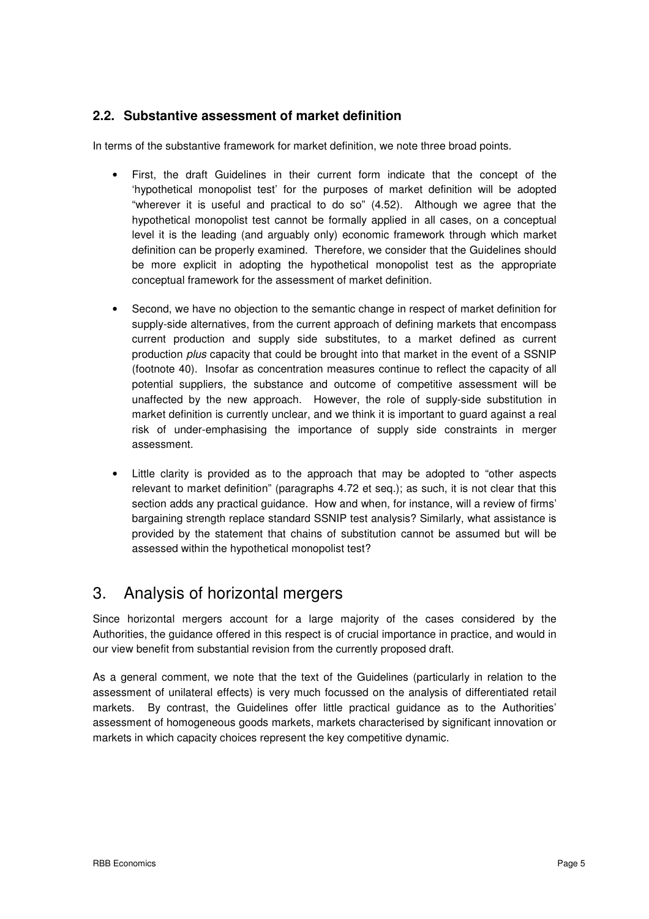### **2.2. Substantive assessment of market definition**

In terms of the substantive framework for market definition, we note three broad points.

- First, the draft Guidelines in their current form indicate that the concept of the 'hypothetical monopolist test' for the purposes of market definition will be adopted "wherever it is useful and practical to do so" (4.52). Although we agree that the hypothetical monopolist test cannot be formally applied in all cases, on a conceptual level it is the leading (and arguably only) economic framework through which market definition can be properly examined. Therefore, we consider that the Guidelines should be more explicit in adopting the hypothetical monopolist test as the appropriate conceptual framework for the assessment of market definition.
- Second, we have no objection to the semantic change in respect of market definition for supply-side alternatives, from the current approach of defining markets that encompass current production and supply side substitutes, to a market defined as current production plus capacity that could be brought into that market in the event of a SSNIP (footnote 40). Insofar as concentration measures continue to reflect the capacity of all potential suppliers, the substance and outcome of competitive assessment will be unaffected by the new approach. However, the role of supply-side substitution in market definition is currently unclear, and we think it is important to guard against a real risk of under-emphasising the importance of supply side constraints in merger assessment.
- Little clarity is provided as to the approach that may be adopted to "other aspects relevant to market definition" (paragraphs 4.72 et seq.); as such, it is not clear that this section adds any practical guidance. How and when, for instance, will a review of firms' bargaining strength replace standard SSNIP test analysis? Similarly, what assistance is provided by the statement that chains of substitution cannot be assumed but will be assessed within the hypothetical monopolist test?

# 3. Analysis of horizontal mergers

Since horizontal mergers account for a large majority of the cases considered by the Authorities, the guidance offered in this respect is of crucial importance in practice, and would in our view benefit from substantial revision from the currently proposed draft.

As a general comment, we note that the text of the Guidelines (particularly in relation to the assessment of unilateral effects) is very much focussed on the analysis of differentiated retail markets. By contrast, the Guidelines offer little practical guidance as to the Authorities' assessment of homogeneous goods markets, markets characterised by significant innovation or markets in which capacity choices represent the key competitive dynamic.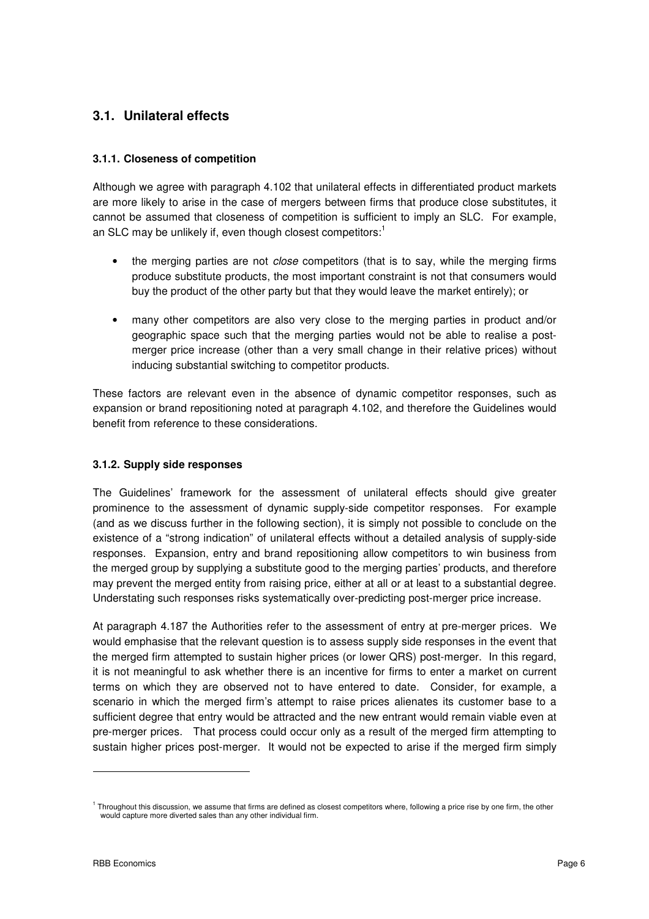## **3.1. Unilateral effects**

#### **3.1.1. Closeness of competition**

Although we agree with paragraph 4.102 that unilateral effects in differentiated product markets are more likely to arise in the case of mergers between firms that produce close substitutes, it cannot be assumed that closeness of competition is sufficient to imply an SLC. For example, an SLC may be unlikely if, even though closest competitors: $^1$ 

- the merging parties are not *close* competitors (that is to say, while the merging firms produce substitute products, the most important constraint is not that consumers would buy the product of the other party but that they would leave the market entirely); or
- many other competitors are also very close to the merging parties in product and/or geographic space such that the merging parties would not be able to realise a postmerger price increase (other than a very small change in their relative prices) without inducing substantial switching to competitor products.

These factors are relevant even in the absence of dynamic competitor responses, such as expansion or brand repositioning noted at paragraph 4.102, and therefore the Guidelines would benefit from reference to these considerations.

#### **3.1.2. Supply side responses**

The Guidelines' framework for the assessment of unilateral effects should give greater prominence to the assessment of dynamic supply-side competitor responses. For example (and as we discuss further in the following section), it is simply not possible to conclude on the existence of a "strong indication" of unilateral effects without a detailed analysis of supply-side responses. Expansion, entry and brand repositioning allow competitors to win business from the merged group by supplying a substitute good to the merging parties' products, and therefore may prevent the merged entity from raising price, either at all or at least to a substantial degree. Understating such responses risks systematically over-predicting post-merger price increase.

At paragraph 4.187 the Authorities refer to the assessment of entry at pre-merger prices. We would emphasise that the relevant question is to assess supply side responses in the event that the merged firm attempted to sustain higher prices (or lower QRS) post-merger. In this regard, it is not meaningful to ask whether there is an incentive for firms to enter a market on current terms on which they are observed not to have entered to date. Consider, for example, a scenario in which the merged firm's attempt to raise prices alienates its customer base to a sufficient degree that entry would be attracted and the new entrant would remain viable even at pre-merger prices. That process could occur only as a result of the merged firm attempting to sustain higher prices post-merger. It would not be expected to arise if the merged firm simply

-

<sup>&</sup>lt;sup>1</sup> Throughout this discussion, we assume that firms are defined as closest competitors where, following a price rise by one firm, the other would capture more diverted sales than any other individual firm.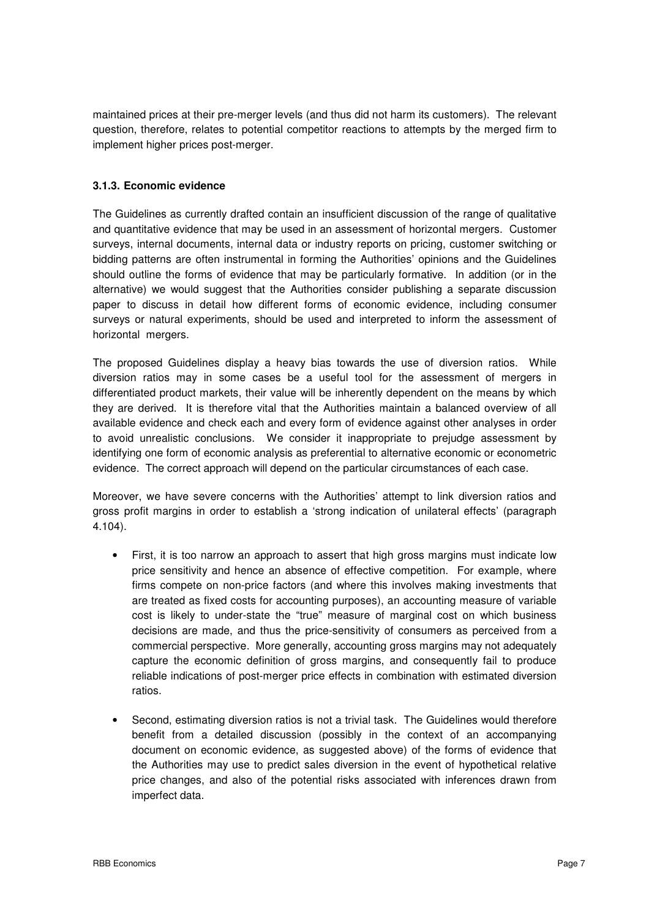maintained prices at their pre-merger levels (and thus did not harm its customers). The relevant question, therefore, relates to potential competitor reactions to attempts by the merged firm to implement higher prices post-merger.

#### **3.1.3. Economic evidence**

The Guidelines as currently drafted contain an insufficient discussion of the range of qualitative and quantitative evidence that may be used in an assessment of horizontal mergers. Customer surveys, internal documents, internal data or industry reports on pricing, customer switching or bidding patterns are often instrumental in forming the Authorities' opinions and the Guidelines should outline the forms of evidence that may be particularly formative. In addition (or in the alternative) we would suggest that the Authorities consider publishing a separate discussion paper to discuss in detail how different forms of economic evidence, including consumer surveys or natural experiments, should be used and interpreted to inform the assessment of horizontal mergers.

The proposed Guidelines display a heavy bias towards the use of diversion ratios. While diversion ratios may in some cases be a useful tool for the assessment of mergers in differentiated product markets, their value will be inherently dependent on the means by which they are derived. It is therefore vital that the Authorities maintain a balanced overview of all available evidence and check each and every form of evidence against other analyses in order to avoid unrealistic conclusions. We consider it inappropriate to prejudge assessment by identifying one form of economic analysis as preferential to alternative economic or econometric evidence. The correct approach will depend on the particular circumstances of each case.

Moreover, we have severe concerns with the Authorities' attempt to link diversion ratios and gross profit margins in order to establish a 'strong indication of unilateral effects' (paragraph 4.104).

- First, it is too narrow an approach to assert that high gross margins must indicate low price sensitivity and hence an absence of effective competition. For example, where firms compete on non-price factors (and where this involves making investments that are treated as fixed costs for accounting purposes), an accounting measure of variable cost is likely to under-state the "true" measure of marginal cost on which business decisions are made, and thus the price-sensitivity of consumers as perceived from a commercial perspective. More generally, accounting gross margins may not adequately capture the economic definition of gross margins, and consequently fail to produce reliable indications of post-merger price effects in combination with estimated diversion ratios.
- Second, estimating diversion ratios is not a trivial task. The Guidelines would therefore benefit from a detailed discussion (possibly in the context of an accompanying document on economic evidence, as suggested above) of the forms of evidence that the Authorities may use to predict sales diversion in the event of hypothetical relative price changes, and also of the potential risks associated with inferences drawn from imperfect data.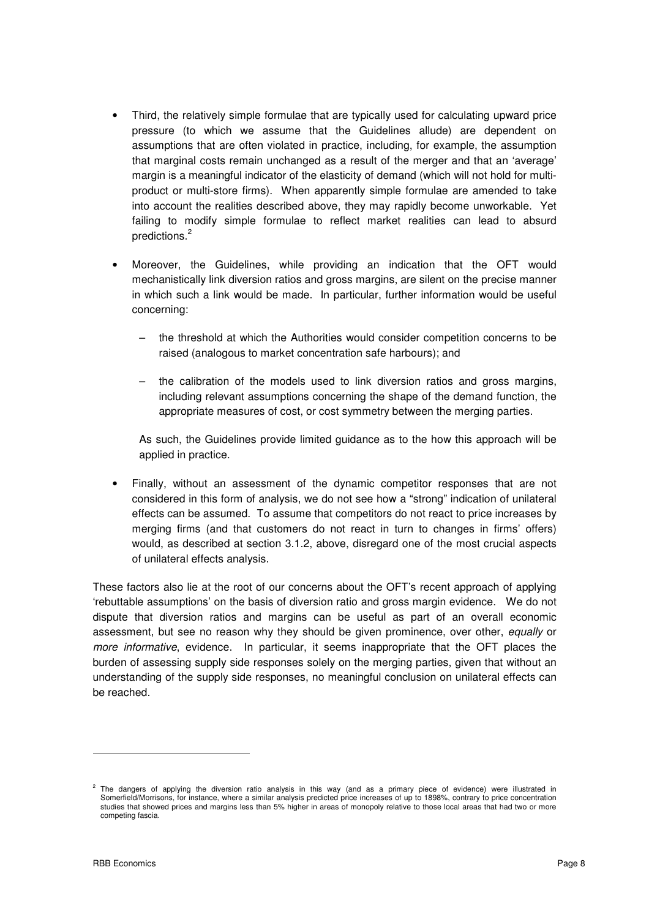- Third, the relatively simple formulae that are typically used for calculating upward price pressure (to which we assume that the Guidelines allude) are dependent on assumptions that are often violated in practice, including, for example, the assumption that marginal costs remain unchanged as a result of the merger and that an 'average' margin is a meaningful indicator of the elasticity of demand (which will not hold for multiproduct or multi-store firms). When apparently simple formulae are amended to take into account the realities described above, they may rapidly become unworkable. Yet failing to modify simple formulae to reflect market realities can lead to absurd predictions.<sup>2</sup>
- Moreover, the Guidelines, while providing an indication that the OFT would mechanistically link diversion ratios and gross margins, are silent on the precise manner in which such a link would be made. In particular, further information would be useful concerning:
	- the threshold at which the Authorities would consider competition concerns to be raised (analogous to market concentration safe harbours); and
	- the calibration of the models used to link diversion ratios and gross margins, including relevant assumptions concerning the shape of the demand function, the appropriate measures of cost, or cost symmetry between the merging parties.

As such, the Guidelines provide limited guidance as to the how this approach will be applied in practice.

• Finally, without an assessment of the dynamic competitor responses that are not considered in this form of analysis, we do not see how a "strong" indication of unilateral effects can be assumed. To assume that competitors do not react to price increases by merging firms (and that customers do not react in turn to changes in firms' offers) would, as described at section 3.1.2, above, disregard one of the most crucial aspects of unilateral effects analysis.

These factors also lie at the root of our concerns about the OFT's recent approach of applying 'rebuttable assumptions' on the basis of diversion ratio and gross margin evidence. We do not dispute that diversion ratios and margins can be useful as part of an overall economic assessment, but see no reason why they should be given prominence, over other, equally or more informative, evidence. In particular, it seems inappropriate that the OFT places the burden of assessing supply side responses solely on the merging parties, given that without an understanding of the supply side responses, no meaningful conclusion on unilateral effects can be reached.

<sup>2</sup> The dangers of applying the diversion ratio analysis in this way (and as a primary piece of evidence) were illustrated in Somerfield/Morrisons, for instance, where a similar analysis predicted price increases of up to 1898%, contrary to price concentration studies that showed prices and margins less than 5% higher in areas of monopoly relative to those local areas that had two or more competing fascia.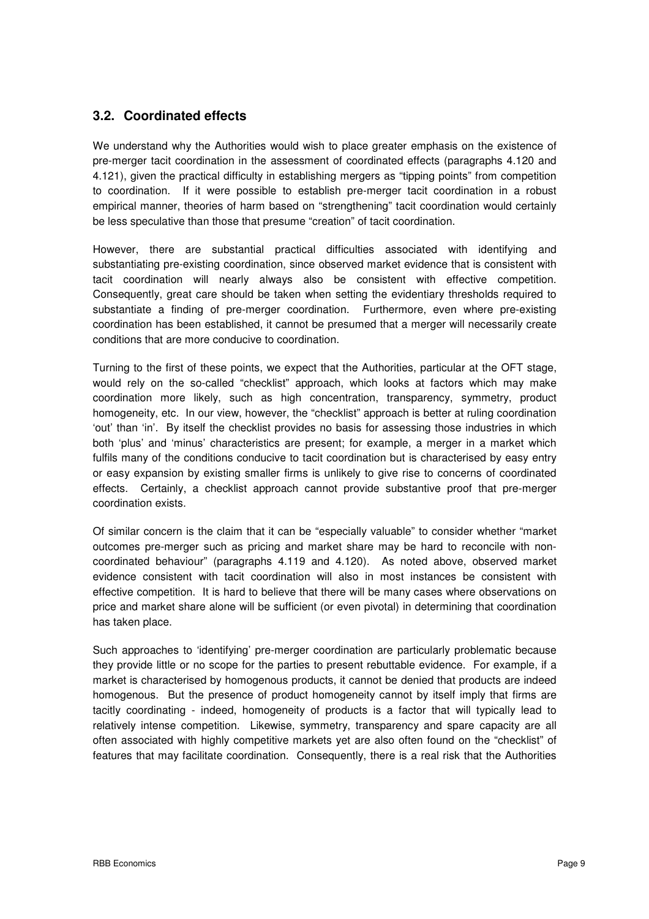## **3.2. Coordinated effects**

We understand why the Authorities would wish to place greater emphasis on the existence of pre-merger tacit coordination in the assessment of coordinated effects (paragraphs 4.120 and 4.121), given the practical difficulty in establishing mergers as "tipping points" from competition to coordination. If it were possible to establish pre-merger tacit coordination in a robust empirical manner, theories of harm based on "strengthening" tacit coordination would certainly be less speculative than those that presume "creation" of tacit coordination.

However, there are substantial practical difficulties associated with identifying and substantiating pre-existing coordination, since observed market evidence that is consistent with tacit coordination will nearly always also be consistent with effective competition. Consequently, great care should be taken when setting the evidentiary thresholds required to substantiate a finding of pre-merger coordination. Furthermore, even where pre-existing coordination has been established, it cannot be presumed that a merger will necessarily create conditions that are more conducive to coordination.

Turning to the first of these points, we expect that the Authorities, particular at the OFT stage, would rely on the so-called "checklist" approach, which looks at factors which may make coordination more likely, such as high concentration, transparency, symmetry, product homogeneity, etc. In our view, however, the "checklist" approach is better at ruling coordination 'out' than 'in'. By itself the checklist provides no basis for assessing those industries in which both 'plus' and 'minus' characteristics are present; for example, a merger in a market which fulfils many of the conditions conducive to tacit coordination but is characterised by easy entry or easy expansion by existing smaller firms is unlikely to give rise to concerns of coordinated effects. Certainly, a checklist approach cannot provide substantive proof that pre-merger coordination exists.

Of similar concern is the claim that it can be "especially valuable" to consider whether "market outcomes pre-merger such as pricing and market share may be hard to reconcile with noncoordinated behaviour" (paragraphs 4.119 and 4.120). As noted above, observed market evidence consistent with tacit coordination will also in most instances be consistent with effective competition. It is hard to believe that there will be many cases where observations on price and market share alone will be sufficient (or even pivotal) in determining that coordination has taken place.

Such approaches to 'identifying' pre-merger coordination are particularly problematic because they provide little or no scope for the parties to present rebuttable evidence. For example, if a market is characterised by homogenous products, it cannot be denied that products are indeed homogenous. But the presence of product homogeneity cannot by itself imply that firms are tacitly coordinating - indeed, homogeneity of products is a factor that will typically lead to relatively intense competition. Likewise, symmetry, transparency and spare capacity are all often associated with highly competitive markets yet are also often found on the "checklist" of features that may facilitate coordination. Consequently, there is a real risk that the Authorities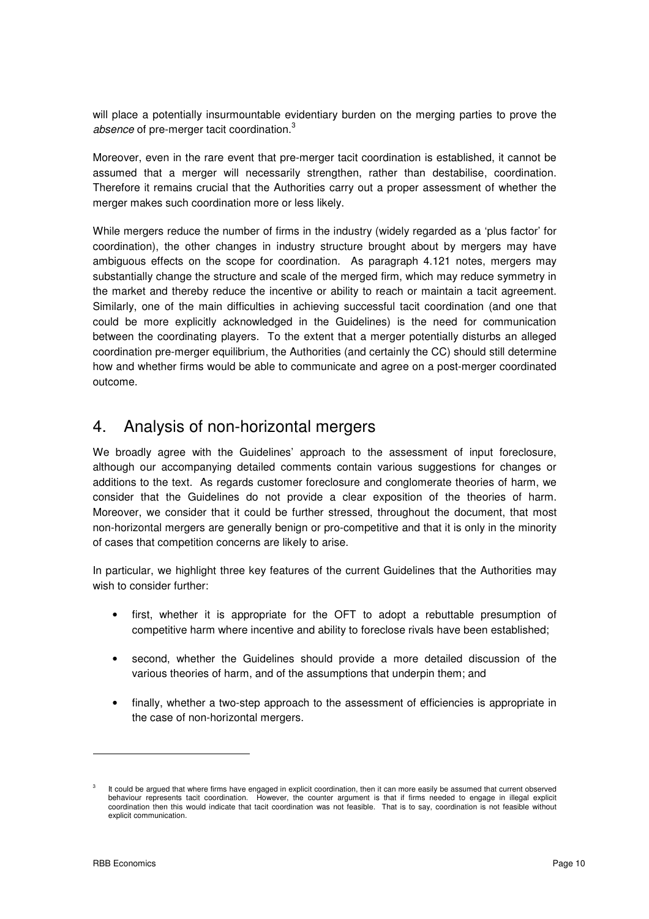will place a potentially insurmountable evidentiary burden on the merging parties to prove the absence of pre-merger tacit coordination. $3$ 

Moreover, even in the rare event that pre-merger tacit coordination is established, it cannot be assumed that a merger will necessarily strengthen, rather than destabilise, coordination. Therefore it remains crucial that the Authorities carry out a proper assessment of whether the merger makes such coordination more or less likely.

While mergers reduce the number of firms in the industry (widely regarded as a 'plus factor' for coordination), the other changes in industry structure brought about by mergers may have ambiguous effects on the scope for coordination. As paragraph 4.121 notes, mergers may substantially change the structure and scale of the merged firm, which may reduce symmetry in the market and thereby reduce the incentive or ability to reach or maintain a tacit agreement. Similarly, one of the main difficulties in achieving successful tacit coordination (and one that could be more explicitly acknowledged in the Guidelines) is the need for communication between the coordinating players. To the extent that a merger potentially disturbs an alleged coordination pre-merger equilibrium, the Authorities (and certainly the CC) should still determine how and whether firms would be able to communicate and agree on a post-merger coordinated outcome.

## 4. Analysis of non-horizontal mergers

We broadly agree with the Guidelines' approach to the assessment of input foreclosure, although our accompanying detailed comments contain various suggestions for changes or additions to the text. As regards customer foreclosure and conglomerate theories of harm, we consider that the Guidelines do not provide a clear exposition of the theories of harm. Moreover, we consider that it could be further stressed, throughout the document, that most non-horizontal mergers are generally benign or pro-competitive and that it is only in the minority of cases that competition concerns are likely to arise.

In particular, we highlight three key features of the current Guidelines that the Authorities may wish to consider further:

- first, whether it is appropriate for the OFT to adopt a rebuttable presumption of competitive harm where incentive and ability to foreclose rivals have been established;
- second, whether the Guidelines should provide a more detailed discussion of the various theories of harm, and of the assumptions that underpin them; and
- finally, whether a two-step approach to the assessment of efficiencies is appropriate in the case of non-horizontal mergers.

<sup>3</sup> It could be argued that where firms have engaged in explicit coordination, then it can more easily be assumed that current observed behaviour represents tacit coordination. However, the counter argument is that if firms needed to engage in illegal explicit coordination then this would indicate that tacit coordination was not feasible. That is to say, coordination is not feasible without explicit communication.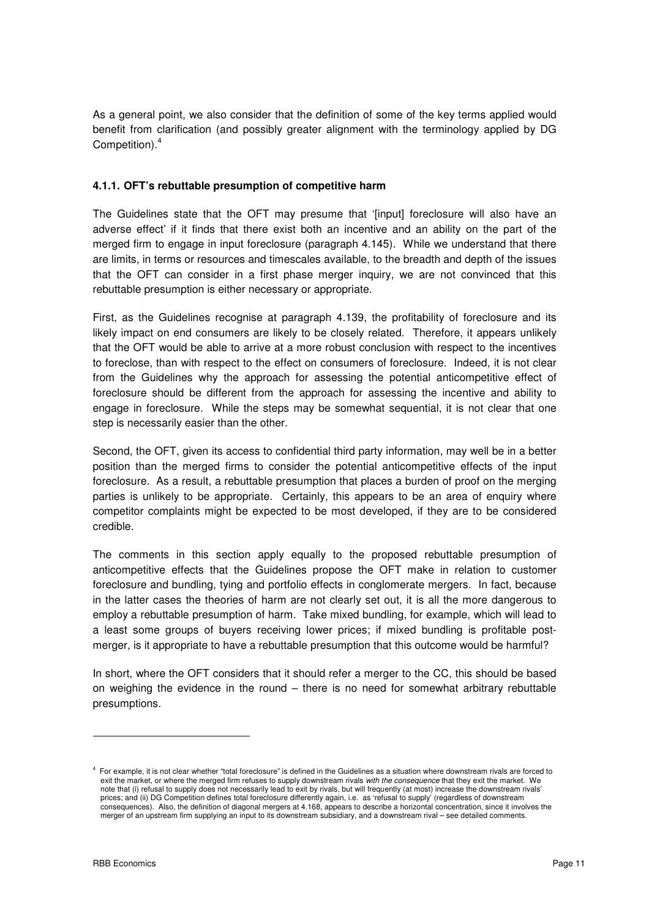As a general point, we also consider that the definition of some of the key terms applied would benefit from clarification (and possibly greater alignment with the terminology applied by DG Competition).<sup>4</sup>

#### **4.1.1. OFT's rebuttable presumption of competitive harm**

The Guidelines state that the OFT may presume that '[input] foreclosure will also have an adverse effect' if it finds that there exist both an incentive and an ability on the part of the merged firm to engage in input foreclosure (paragraph 4.145). While we understand that there are limits, in terms or resources and timescales available, to the breadth and depth of the issues that the OFT can consider in a first phase merger inquiry, we are not convinced that this rebuttable presumption is either necessary or appropriate.

First, as the Guidelines recognise at paragraph 4.139, the profitability of foreclosure and its likely impact on end consumers are likely to be closely related. Therefore, it appears unlikely that the OFT would be able to arrive at a more robust conclusion with respect to the incentives to foreclose, than with respect to the effect on consumers of foreclosure. Indeed, it is not clear from the Guidelines why the approach for assessing the potential anticompetitive effect of foreclosure should be different from the approach for assessing the incentive and ability to engage in foreclosure. While the steps may be somewhat sequential, it is not clear that one step is necessarily easier than the other.

Second, the OFT, given its access to confidential third party information, may well be in a better position than the merged firms to consider the potential anticompetitive effects of the input foreclosure. As a result, a rebuttable presumption that places a burden of proof on the merging parties is unlikely to be appropriate. Certainly, this appears to be an area of enquiry where competitor complaints might be expected to be most developed, if they are to be considered credible.

The comments in this section apply equally to the proposed rebuttable presumption of anticompetitive effects that the Guidelines propose the OFT make in relation to customer foreclosure and bundling, tying and portfolio effects in conglomerate mergers. In fact, because in the latter cases the theories of harm are not clearly set out, it is all the more dangerous to employ a rebuttable presumption of harm. Take mixed bundling, for example, which will lead to a least some groups of buyers receiving lower prices; if mixed bundling is profitable postmerger, is it appropriate to have a rebuttable presumption that this outcome would be harmful?

In short, where the OFT considers that it should refer a merger to the CC, this should be based on weighing the evidence in the round – there is no need for somewhat arbitrary rebuttable presumptions.

-

<sup>4</sup> For example, it is not clear whether "total foreclosure" is defined in the Guidelines as a situation where downstream rivals are forced to exit the market, or where the merged firm refuses to supply downstream rivals with the consequence that they exit the market. We note that (i) refusal to supply does not necessarily lead to exit by rivals, but will frequently (at most) increase the downstream rivals' prices; and (ii) DG Competition defines total foreclosure differently again, i.e. as 'refusal to supply' (regardless of downstream consequences). Also, the definition of diagonal mergers at 4.168, appears to describe a horizontal concentration, since it involves the merger of an upstream firm supplying an input to its downstream subsidiary, and a downstream rival – see detailed comments.